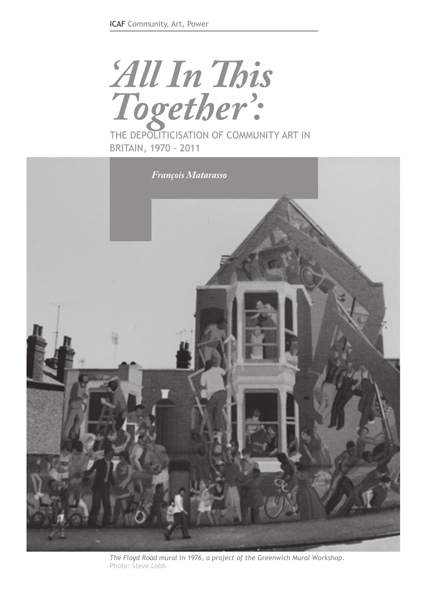

BRITAIN, 1970 - 2011



The Floyd Road mural in 1976, a project of the Greenwich Mural Workshop. Photo: Steve Lobb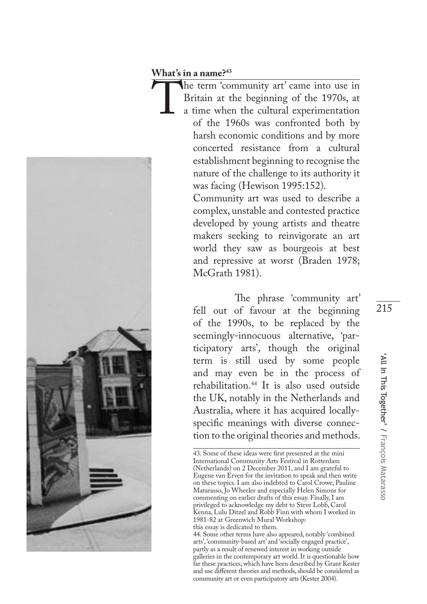

What's in a name?<sup>43</sup><br>The term 'community art' came into use in The term 'community art' came into use in<br>Britain at the beginning of the 1970s, at<br>a time when the cultural experimentation<br>of the 1960s was confronted both by Britain at the beginning of the 1970s, at a time when the cultural experimentation of the 1960s was confronted both by harsh economic conditions and by more concerted resistance from a cultural establishment beginning to recognise the nature of the challenge to its authority it was facing (Hewison 1995:152).

> Community art was used to describe a complex, unstable and contested practice developed by young artists and theatre makers seeking to reinvigorate an art world they saw as bourgeois at best and repressive at worst (Braden 1978; McGrath 1981).

> The phrase 'community art' fell out of favour at the beginning of the 1990s, to be replaced by the seemingly-innocuous alternative, 'participatory arts', though the original term is still used by some people and may even be in the process of rehabilitation.44 It is also used outside the UK, notably in the Netherlands and Australia, where it has acquired locallyspecifc meanings with diverse connection to the original theories and methods.

<sup>43.</sup> Some of these ideas were frst presented at the mini International Community Arts Festival in Rotterdam (Netherlands) on 2 December 2011, and I am grateful to Eugene van Erven for the invitation to speak and then write on these topics. I am also indebted to Carol Crowe, Pauline Matarasso, Jo Wheeler and especially Helen Simons for commenting on earlier drafts of this essay. Finally, I am privileged to acknowledge my debt to Steve Lobb, Carol Kenna, Lulu Ditzel and Robb Finn with whom I worked in 1981-82 at Greenwich Mural Workshop: this essay is dedicated to them.

<sup>44.</sup> Some other terms have also appeared, notably 'combined arts', 'community-based art' and 'socially engaged practice', partly as a result of renewed interest in working outside galleries in the contemporary art world. It is questionable how far these practices, which have been described by Grant Kester and use diferent theories and methods, should be considered as community art or even participatory arts (Kester 2004).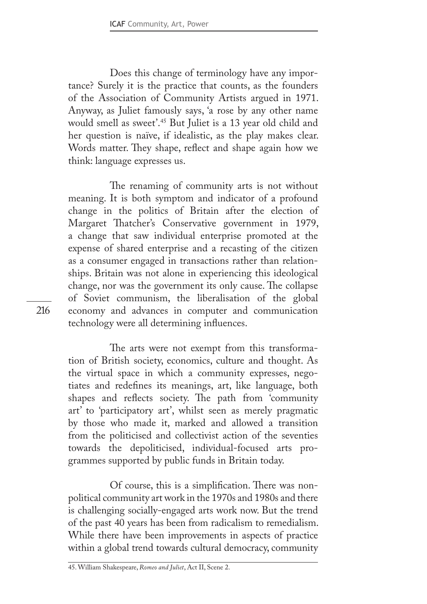Does this change of terminology have any importance? Surely it is the practice that counts, as the founders of the Association of Community Artists argued in 1971. Anyway, as Juliet famously says, 'a rose by any other name would smell as sweet'.45 But Juliet is a 13 year old child and her question is naïve, if idealistic, as the play makes clear. Words matter. They shape, reflect and shape again how we think: language expresses us.

The renaming of community arts is not without meaning. It is both symptom and indicator of a profound change in the politics of Britain after the election of Margaret Thatcher's Conservative government in 1979, a change that saw individual enterprise promoted at the expense of shared enterprise and a recasting of the citizen as a consumer engaged in transactions rather than relationships. Britain was not alone in experiencing this ideological change, nor was the government its only cause. The collapse of Soviet communism, the liberalisation of the global economy and advances in computer and communication technology were all determining infuences.

The arts were not exempt from this transformation of British society, economics, culture and thought. As the virtual space in which a community expresses, negotiates and redefnes its meanings, art, like language, both shapes and reflects society. The path from 'community art' to 'participatory art', whilst seen as merely pragmatic by those who made it, marked and allowed a transition from the politicised and collectivist action of the seventies towards the depoliticised, individual-focused arts programmes supported by public funds in Britain today.

Of course, this is a simplification. There was nonpolitical community art work in the 1970s and 1980s and there is challenging socially-engaged arts work now. But the trend of the past 40 years has been from radicalism to remedialism. While there have been improvements in aspects of practice within a global trend towards cultural democracy, community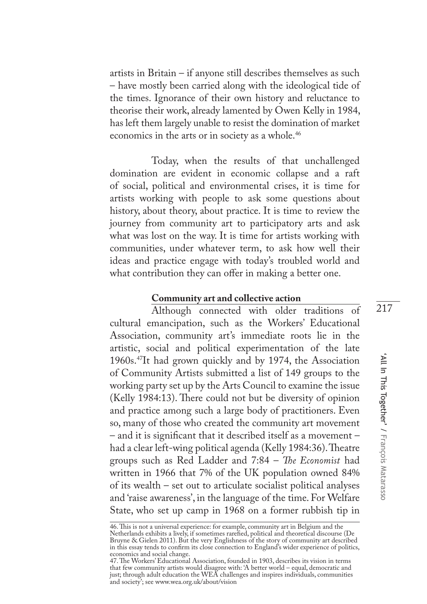artists in Britain – if anyone still describes themselves as such – have mostly been carried along with the ideological tide of the times. Ignorance of their own history and reluctance to theorise their work, already lamented by Owen Kelly in 1984, has left them largely unable to resist the domination of market economics in the arts or in society as a whole.<sup>46</sup>

Today, when the results of that unchallenged domination are evident in economic collapse and a raft of social, political and environmental crises, it is time for artists working with people to ask some questions about history, about theory, about practice. It is time to review the journey from community art to participatory arts and ask what was lost on the way. It is time for artists working with communities, under whatever term, to ask how well their ideas and practice engage with today's troubled world and what contribution they can offer in making a better one.

### **Community art and collective action**

Although connected with older traditions of cultural emancipation, such as the Workers' Educational Association, community art's immediate roots lie in the artistic, social and political experimentation of the late 1960s.47It had grown quickly and by 1974, the Association of Community Artists submitted a list of 149 groups to the working party set up by the Arts Council to examine the issue  $(Kelly 1984:13)$ . There could not but be diversity of opinion and practice among such a large body of practitioners. Even so, many of those who created the community art movement – and it is signifcant that it described itself as a movement – had a clear left-wing political agenda (Kelly 1984:36). Theatre groups such as Red Ladder and 7:84 – *Te Economist* had written in 1966 that 7% of the UK population owned 84% of its wealth – set out to articulate socialist political analyses and 'raise awareness', in the language of the time. For Welfare State, who set up camp in 1968 on a former rubbish tip in

<sup>46.</sup> This is not a universal experience: for example, community art in Belgium and the Netherlands exhibits a lively, if sometimes rarefed, political and theoretical discourse (De Bruyne & Gielen 2011). But the very Englishness of the story of community art described in this essay tends to confrm its close connection to England's wider experience of politics, economics and social change.

<sup>47.</sup> The Workers' Educational Association, founded in 1903, describes its vision in terms that few community artists would disagree with: 'A better world – equal, democratic and just; through adult education the WEA challenges and inspires individuals, communities and society'; see www.wea.org.uk/about/vision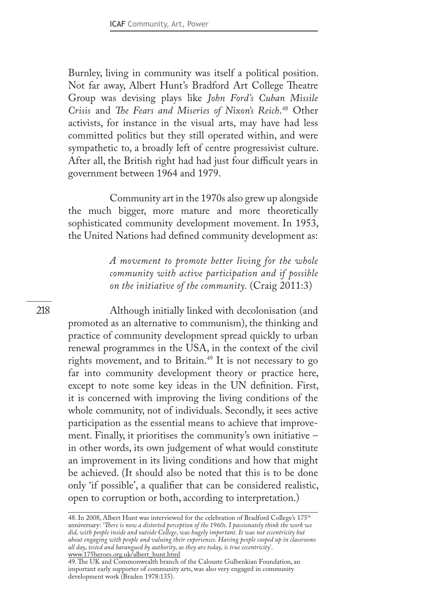Burnley, living in community was itself a political position. Not far away, Albert Hunt's Bradford Art College Theatre Group was devising plays like *John Ford's Cuban Missile Crisis* and *Te Fears and Miseries of Nixon's Reich*. 48 Other activists, for instance in the visual arts, may have had less committed politics but they still operated within, and were sympathetic to, a broadly left of centre progressivist culture. After all, the British right had had just four difficult years in government between 1964 and 1979.

Community art in the 1970s also grew up alongside the much bigger, more mature and more theoretically sophisticated community development movement. In 1953, the United Nations had defned community development as:

> *A movement to promote better living for the whole community with active participation and if possible on the initiative of the community.* (Craig 2011:3)

Although initially linked with decolonisation (and promoted as an alternative to communism), the thinking and practice of community development spread quickly to urban renewal programmes in the USA, in the context of the civil rights movement, and to Britain.<sup>49</sup> It is not necessary to go far into community development theory or practice here, except to note some key ideas in the UN defnition. First, it is concerned with improving the living conditions of the whole community, not of individuals. Secondly, it sees active participation as the essential means to achieve that improvement. Finally, it prioritises the community's own initiative – in other words, its own judgement of what would constitute an improvement in its living conditions and how that might be achieved. (It should also be noted that this is to be done only 'if possible', a qualifer that can be considered realistic, open to corruption or both, according to interpretation.)

<sup>48.</sup> In 2008, Albert Hunt was interviewed for the celebration of Bradford College's 175th anniversary: *'Tere is now a distorted perception of the 1960s. I passionately think the work we did, with people inside and outside College, was hugely important. It was not eccentricity but about engaging with people and valuing their experiences. Having people cooped up in classrooms all day, tested and harangued by authority, as they are today, is true eccentricity'*. www.175heroes.org.uk/albert\_hunt.html

<sup>49.</sup> The UK and Commonwealth branch of the Calouste Gulbenkian Foundation, an important early supporter of community arts, was also very engaged in community development work (Braden 1978:135).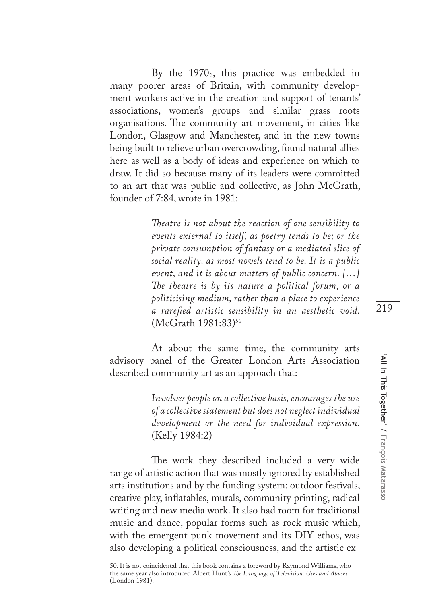By the 1970s, this practice was embedded in many poorer areas of Britain, with community development workers active in the creation and support of tenants' associations, women's groups and similar grass roots organisations. The community art movement, in cities like London, Glasgow and Manchester, and in the new towns being built to relieve urban overcrowding, found natural allies here as well as a body of ideas and experience on which to draw. It did so because many of its leaders were committed to an art that was public and collective, as John McGrath, founder of 7:84, wrote in 1981:

> *Teatre is not about the reaction of one sensibility to events external to itself, as poetry tends to be; or the private consumption of fantasy or a mediated slice of social reality, as most novels tend to be. It is a public event, and it is about matters of public concern. […] Te theatre is by its nature a political forum, or a politicising medium, rather than a place to experience a rarefed artistic sensibility in an aesthetic void.*  (McGrath 1981:83)*<sup>50</sup>*

At about the same time, the community arts advisory panel of the Greater London Arts Association described community art as an approach that:

> *Involves people on a collective basis, encourages the use of a collective statement but does not neglect individual development or the need for individual expression.*  (Kelly 1984:2)

The work they described included a very wide range of artistic action that was mostly ignored by established arts institutions and by the funding system: outdoor festivals, creative play, infatables, murals, community printing, radical writing and new media work. It also had room for traditional music and dance, popular forms such as rock music which, with the emergent punk movement and its DIY ethos, was also developing a political consciousness, and the artistic ex-

<sup>50.</sup> It is not coincidental that this book contains a foreword by Raymond Williams, who the same year also introduced Albert Hunt's *Te Language of Television: Uses and Abuses* (London 1981).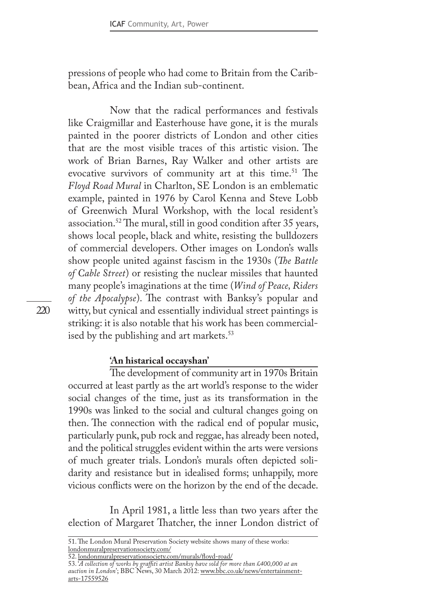pressions of people who had come to Britain from the Caribbean, Africa and the Indian sub-continent.

Now that the radical performances and festivals like Craigmillar and Easterhouse have gone, it is the murals painted in the poorer districts of London and other cities that are the most visible traces of this artistic vision. The work of Brian Barnes, Ray Walker and other artists are evocative survivors of community art at this time.<sup>51</sup> The *Floyd Road Mural* in Charlton, SE London is an emblematic example, painted in 1976 by Carol Kenna and Steve Lobb of Greenwich Mural Workshop, with the local resident's association.<sup>52</sup> The mural, still in good condition after 35 years, shows local people, black and white, resisting the bulldozers of commercial developers. Other images on London's walls show people united against fascism in the 1930s (*Te Battle of Cable Street*) or resisting the nuclear missiles that haunted many people's imaginations at the time (*Wind of Peace, Riders of the Apocalypse*). The contrast with Banksy's popular and witty, but cynical and essentially individual street paintings is striking: it is also notable that his work has been commercialised by the publishing and art markets.<sup>53</sup>

**'An histarical occayshan'** 

The development of community art in 1970s Britain occurred at least partly as the art world's response to the wider social changes of the time, just as its transformation in the 1990s was linked to the social and cultural changes going on then. The connection with the radical end of popular music, particularly punk, pub rock and reggae, has already been noted, and the political struggles evident within the arts were versions of much greater trials. London's murals often depicted solidarity and resistance but in idealised forms; unhappily, more vicious conficts were on the horizon by the end of the decade.

In April 1981, a little less than two years after the election of Margaret Thatcher, the inner London district of

53. '*A collection of works by grafti artist Banksy have sold for more than £400,000 at an auction in London*'; BBC News, 30 March 2012: www.bbc.co.uk/news/entertainmentarts-17559526

<sup>51.</sup> The London Mural Preservation Society website shows many of these works: londonmuralpreservationsociety.com/

<sup>52.</sup> londonmuralpreservationsociety.com/murals/foyd-road/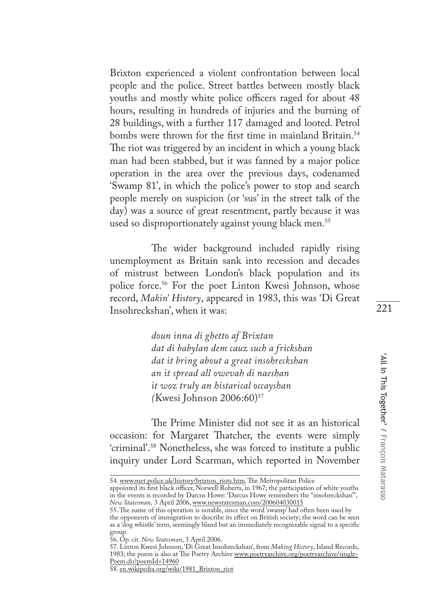Brixton experienced a violent confrontation between local people and the police. Street battles between mostly black youths and mostly white police officers raged for about 48 hours, resulting in hundreds of injuries and the burning of 28 buildings, with a further 117 damaged and looted. Petrol bombs were thrown for the first time in mainland Britain.<sup>54</sup> The riot was triggered by an incident in which a young black man had been stabbed, but it was fanned by a major police operation in the area over the previous days, codenamed 'Swamp 81', in which the police's power to stop and search people merely on suspicion (or 'sus' in the street talk of the day) was a source of great resentment, partly because it was used so disproportionately against young black men.<sup>55</sup>

The wider background included rapidly rising unemployment as Britain sank into recession and decades of mistrust between London's black population and its police force.56 For the poet Linton Kwesi Johnson, whose record, *Makin' History*, appeared in 1983, this was 'Di Great Insohreckshan', when it was:

> *doun inna di ghetto af Brixtan dat di babylan dem cauz such a frickshan dat it bring about a great insohreckshan an it spread all owevah di naeshan it woz truly an histarical occayshan (*Kwesi Johnson 2006:60)*<sup>57</sup>*

The Prime Minister did not see it as an historical occasion: for Margaret Thatcher, the events were simply 'criminal'.58 Nonetheless, she was forced to institute a public inquiry under Lord Scarman, which reported in November

<sup>54.</sup> www.met.police.uk/history/brixton\_riots.htm. The Metropolitan Police

appointed its first black officer, Norwell Roberts, in 1967; the participation of white youths in the events is recorded by Darcus Howe: 'Darcus Howe remembers the "insohreckshan"', *New Statesman,* 3 April 2006, www.newstatesman.com/200604030015

<sup>55.</sup> The name of this operation is notable, since the word 'swamp' had often been used by the opponents of immigration to describe its efect on British society; the word can be seen as a 'dog whistle' term, seemingly bland but an immediately recognizable signal to a specifc group.

<sup>56.</sup> Op. cit. *New Statesman*, 3 April 2006.

<sup>57.</sup> Linton Kwesi Johnson, 'Di Great Insohreckshan', from *Making History*, Island Records, 1983; the poem is also at The Poetry Archive www.poetryarchive.org/poetryarchive/single-Poem.do?poemId=14960

<sup>58.</sup> en.wikipedia.org/wiki/1981\_Brixton\_riot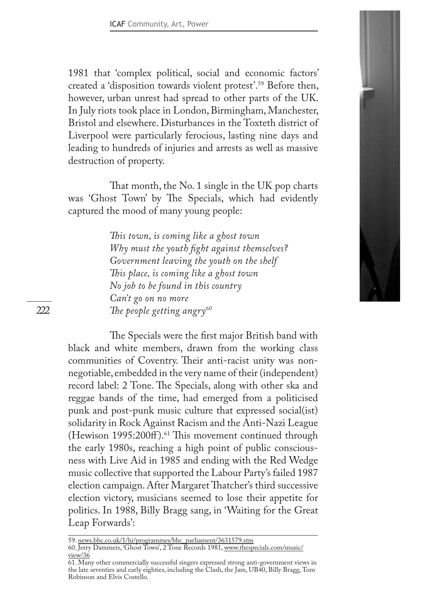1981 that 'complex political, social and economic factors' created a 'disposition towards violent protest'.59 Before then, however, urban unrest had spread to other parts of the UK. In July riots took place in London, Birmingham, Manchester, Bristol and elsewhere. Disturbances in the Toxteth district of Liverpool were particularly ferocious, lasting nine days and leading to hundreds of injuries and arrests as well as massive destruction of property.

That month, the No. 1 single in the UK pop charts was 'Ghost Town' by The Specials, which had evidently captured the mood of many young people:

> *Tis town, is coming like a ghost town Why must the youth fght against themselves? Government leaving the youth on the shelf Tis place, is coming like a ghost town No job to be found in this country Can't go on no more The people getting angry*<sup>60</sup>

The Specials were the first major British band with black and white members, drawn from the working class communities of Coventry. Their anti-racist unity was nonnegotiable, embedded in the very name of their (independent) record label: 2 Tone. The Specials, along with other ska and reggae bands of the time, had emerged from a politicised punk and post-punk music culture that expressed social(ist) solidarity in Rock Against Racism and the Anti-Nazi League (Hewison 1995:200ff).<sup>61</sup> This movement continued through the early 1980s, reaching a high point of public consciousness with Live Aid in 1985 and ending with the Red Wedge music collective that supported the Labour Party's failed 1987 election campaign. After Margaret Thatcher's third successive election victory, musicians seemed to lose their appetite for politics. In 1988, Billy Bragg sang, in 'Waiting for the Great Leap Forwards':

59. news.bbc.co.uk/1/hi/programmes/bbc\_parliament/3631579.stm

60. Jerry Dammers, 'Ghost Town', 2 Tone Records 1981, www.thespecials.com/music/ view/36

<sup>61.</sup> Many other commercially successful singers expressed strong anti-government views in the late seventies and early eighties, including the Clash, the Jam, UB40, Billy Bragg, Tom Robinson and Elvis Costello.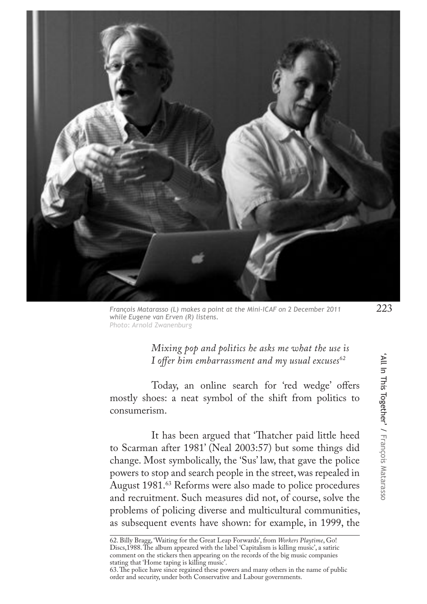

*François Matarasso (L) makes a point at the Mini-ICAF on 2 December 2011 while Eugene van Erven (R) listens. Photo: Arnold Zwanenburg*

*Mixing pop and politics he asks me what the use is I ofer him embarrassment and my usual excuses<sup>62</sup>*

Today, an online search for 'red wedge' offers mostly shoes: a neat symbol of the shift from politics to consumerism.

It has been argued that 'Thatcher paid little heed to Scarman after 1981' (Neal 2003:57) but some things did change. Most symbolically, the 'Sus' law, that gave the police powers to stop and search people in the street, was repealed in August 1981.63 Reforms were also made to police procedures and recruitment. Such measures did not, of course, solve the problems of policing diverse and multicultural communities, as subsequent events have shown: for example, in 1999, the

<sup>62.</sup> Billy Bragg, 'Waiting for the Great Leap Forwards', from *Workers Playtime*, Go! Discs,1988. The album appeared with the label 'Capitalism is killing music', a satiric comment on the stickers then appearing on the records of the big music companies stating that 'Home taping is killing music'.

<sup>63.</sup> The police have since regained these powers and many others in the name of public order and security, under both Conservative and Labour governments.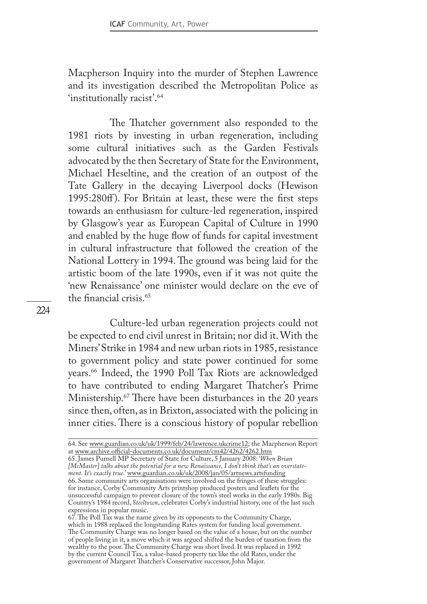Macpherson Inquiry into the murder of Stephen Lawrence and its investigation described the Metropolitan Police as 'institutionally racist'.64

The Thatcher government also responded to the 1981 riots by investing in urban regeneration, including some cultural initiatives such as the Garden Festivals advocated by the then Secretary of State for the Environment, Michael Heseltine, and the creation of an outpost of the Tate Gallery in the decaying Liverpool docks (Hewison 1995:280f). For Britain at least, these were the frst steps towards an enthusiasm for culture-led regeneration, inspired by Glasgow's year as European Capital of Culture in 1990 and enabled by the huge flow of funds for capital investment in cultural infrastructure that followed the creation of the National Lottery in 1994. The ground was being laid for the artistic boom of the late 1990s, even if it was not quite the 'new Renaissance' one minister would declare on the eve of the fnancial crisis.65

224

Culture-led urban regeneration projects could not be expected to end civil unrest in Britain; nor did it. With the Miners' Strike in 1984 and new urban riots in 1985, resistance to government policy and state power continued for some years.66 Indeed, the 1990 Poll Tax Riots are acknowledged to have contributed to ending Margaret Thatcher's Prime Ministership.<sup>67</sup> There have been disturbances in the 20 years since then, often, as in Brixton, associated with the policing in inner cities. There is a conscious history of popular rebellion

<sup>64.</sup> See www.guardian.co.uk/uk/1999/feb/24/lawrence.ukcrime12; the Macpherson Report at <u>www.archive.official-documents.co.uk/document/cm42/4262/4262.htm</u>

<sup>65.</sup> James Purnell MP Secretary of State for Culture, 5 January 2008: '*When Brian [McMaster] talks about the potential for a new Renaissance, I don't think that's an overstatement. It's exactly true.*' www.guardian.co.uk/uk/2008/jan/05/artnews.artsfunding 66. Some community arts organisations were involved on the fringes of these struggles: for instance, Corby Community Arts printshop produced posters and leafets for the unsuccessful campaign to prevent closure of the town's steel works in the early 1980s. Big Country's 1984 record, *Steeltown*, celebrates Corby's industrial history, one of the last such expressions in popular music.

<sup>67.</sup> The Poll Tax was the name given by its opponents to the Community Charge, which in 1988 replaced the longstanding Rates system for funding local government. The Community Charge was no longer based on the value of a house, but on the number of people living in it, a move which it was argued shifted the burden of taxation from the wealthy to the poor. The Community Charge was short lived. It was replaced in 1992 by the current Council Tax, a value-based property tax like the old Rates, under the government of Margaret Tatcher's Conservative successor, John Major.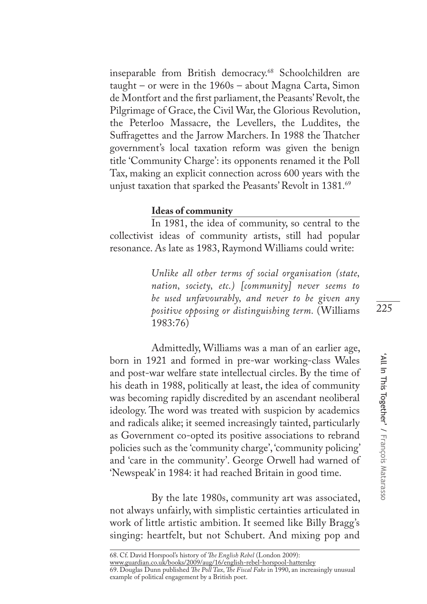inseparable from British democracy.<sup>68</sup> Schoolchildren are taught – or were in the 1960s – about Magna Carta, Simon de Montfort and the frst parliament, the Peasants' Revolt, the Pilgrimage of Grace, the Civil War, the Glorious Revolution, the Peterloo Massacre, the Levellers, the Luddites, the Suffragettes and the Jarrow Marchers. In 1988 the Thatcher government's local taxation reform was given the benign title 'Community Charge': its opponents renamed it the Poll Tax, making an explicit connection across 600 years with the unjust taxation that sparked the Peasants' Revolt in 1381.69

## **Ideas of community**

In 1981, the idea of community, so central to the collectivist ideas of community artists, still had popular resonance. As late as 1983, Raymond Williams could write:

> *Unlike all other terms of social organisation (state, nation, society, etc.) [community] never seems to be used unfavourably, and never to be given any positive opposing or distinguishing term.* (Williams 1983:76)

Admittedly, Williams was a man of an earlier age, born in 1921 and formed in pre-war working-class Wales and post-war welfare state intellectual circles. By the time of his death in 1988, politically at least, the idea of community was becoming rapidly discredited by an ascendant neoliberal ideology. The word was treated with suspicion by academics and radicals alike; it seemed increasingly tainted, particularly as Government co-opted its positive associations to rebrand policies such as the 'community charge', 'community policing' and 'care in the community'. George Orwell had warned of 'Newspeak' in 1984: it had reached Britain in good time.

By the late 1980s, community art was associated, not always unfairly, with simplistic certainties articulated in work of little artistic ambition. It seemed like Billy Bragg's singing: heartfelt, but not Schubert. And mixing pop and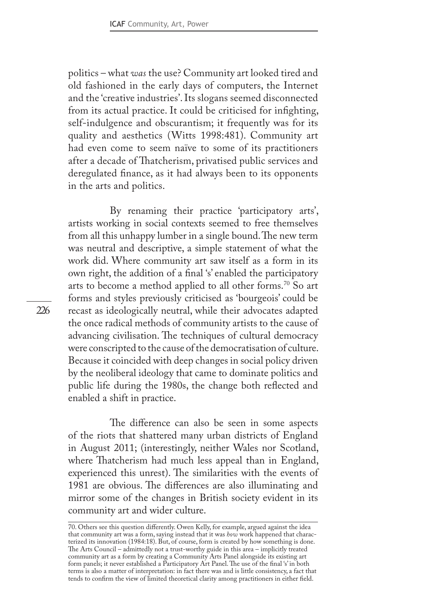politics – what *was* the use? Community art looked tired and old fashioned in the early days of computers, the Internet and the 'creative industries'. Its slogans seemed disconnected from its actual practice. It could be criticised for infghting, self-indulgence and obscurantism; it frequently was for its quality and aesthetics (Witts 1998:481). Community art had even come to seem naïve to some of its practitioners after a decade of Thatcherism, privatised public services and deregulated fnance, as it had always been to its opponents in the arts and politics.

By renaming their practice 'participatory arts', artists working in social contexts seemed to free themselves from all this unhappy lumber in a single bound. The new term was neutral and descriptive, a simple statement of what the work did. Where community art saw itself as a form in its own right, the addition of a fnal 's' enabled the participatory arts to become a method applied to all other forms.<sup>70</sup> So art forms and styles previously criticised as 'bourgeois' could be recast as ideologically neutral, while their advocates adapted the once radical methods of community artists to the cause of advancing civilisation. The techniques of cultural democracy were conscripted to the cause of the democratisation of culture. Because it coincided with deep changes in social policy driven by the neoliberal ideology that came to dominate politics and public life during the 1980s, the change both refected and enabled a shift in practice.

The difference can also be seen in some aspects of the riots that shattered many urban districts of England in August 2011; (interestingly, neither Wales nor Scotland, where Thatcherism had much less appeal than in England, experienced this unrest). The similarities with the events of 1981 are obvious. The differences are also illuminating and mirror some of the changes in British society evident in its community art and wider culture.

<sup>70.</sup> Others see this question diferently. Owen Kelly, for example, argued against the idea that community art was a form, saying instead that it was *how* work happened that characterized its innovation (1984:18). But, of course, form is created by how something is done. The Arts Council – admittedly not a trust-worthy guide in this area – implicitly treated community art as a form by creating a Community Arts Panel alongside its existing art form panels; it never established a Participatory Art Panel. The use of the final 's' in both terms is also a matter of interpretation: in fact there was and is little consistency, a fact that tends to confrm the view of limited theoretical clarity among practitioners in either feld.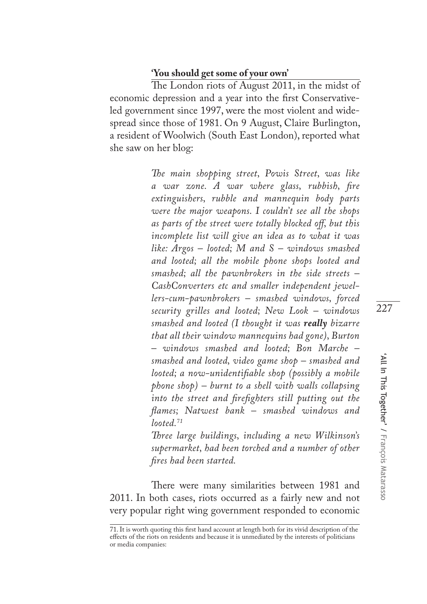#### **'You should get some of your own'**

The London riots of August 2011, in the midst of economic depression and a year into the frst Conservativeled government since 1997, were the most violent and widespread since those of 1981. On 9 August, Claire Burlington, a resident of Woolwich (South East London), reported what she saw on her blog:

> *Te main shopping street, Powis Street, was like a war zone. A war where glass, rubbish, fre extinguishers, rubble and mannequin body parts were the major weapons. I couldn't see all the shops as parts of the street were totally blocked of, but this incomplete list will give an idea as to what it was like: Argos – looted; M and S – windows smashed and looted; all the mobile phone shops looted and smashed; all the pawnbrokers in the side streets – CashConverters etc and smaller independent jewellers-cum-pawnbrokers – smashed windows, forced security grilles and looted; New Look – windows smashed and looted (I thought it was really bizarre that all their window mannequins had gone), Burton – windows smashed and looted; Bon Marche – smashed and looted, video game shop – smashed and looted; a now-unidentifable shop (possibly a mobile phone shop) – burnt to a shell with walls collapsing into the street and frefghters still putting out the fames; Natwest bank – smashed windows and looted.<sup>71</sup>*

> *Tree large buildings, including a new Wilkinson's supermarket, had been torched and a number of other fres had been started.*

There were many similarities between 1981 and 2011. In both cases, riots occurred as a fairly new and not very popular right wing government responded to economic

<sup>71.</sup> It is worth quoting this frst hand account at length both for its vivid description of the efects of the riots on residents and because it is unmediated by the interests of politicians or media companies: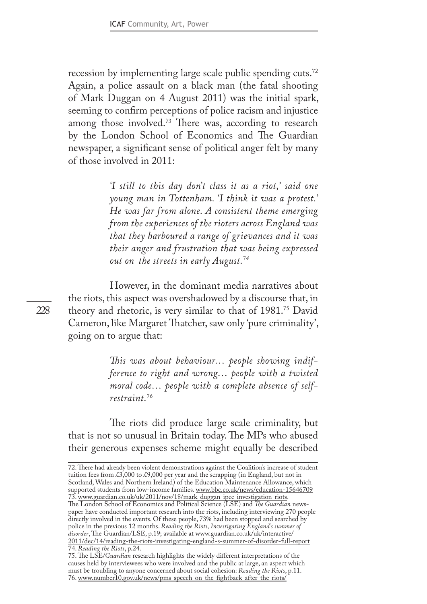recession by implementing large scale public spending cuts.<sup>72</sup> Again, a police assault on a black man (the fatal shooting of Mark Duggan on 4 August 2011) was the initial spark, seeming to confrm perceptions of police racism and injustice among those involved.<sup>73</sup> There was, according to research by the London School of Economics and The Guardian newspaper, a signifcant sense of political anger felt by many of those involved in 2011:

> *'I still to this day don't class it as a riot,' said one young man in Tottenham. 'I think it was a protest.' He was far from alone. A consistent theme emerging from the experiences of the rioters across England was that they harboured a range of grievances and it was their anger and frustration that was being expressed out on the streets in early August.<sup>74</sup>*

However, in the dominant media narratives about the riots, this aspect was overshadowed by a discourse that, in theory and rhetoric, is very similar to that of 1981.75 David Cameron, like Margaret Thatcher, saw only 'pure criminality', going on to argue that:

> *Tis was about behaviour… people showing indifference to right and wrong… people with a twisted moral code… people with a complete absence of selfrestraint.<sup>76</sup>*

The riots did produce large scale criminality, but that is not so unusual in Britain today. The MPs who abused their generous expenses scheme might equally be described

<sup>72.</sup> There had already been violent demonstrations against the Coalition's increase of student tuition fees from £3,000 to £9,000 per year and the scrapping (in England, but not in Scotland, Wales and Northern Ireland) of the Education Maintenance Allowance, which supported students from low-income families. www.bbc.co.uk/news/education-15646709 73. www.guardian.co.uk/uk/2011/nov/18/mark-duggan-ipcc-investigation-riots. The London School of Economics and Political Science (LSE) and *The Guardian* newspaper have conducted important research into the riots, including interviewing 270 people directly involved in the events. Of these people, 73% had been stopped and searched by police in the previous 12 months. *Reading the Riots, Investigating England's summer of* disorder, The Guardian/LSE, p.19; available at www.guardian.co.uk/uk/interactive/ 2011/dec/14/reading-the-riots-investigating-england-s-summer-of-disorder-full-report 74. *Reading the Riots*, p.24.

<sup>75.</sup> The LSE/*Guardian* research highlights the widely different interpretations of the causes held by interviewees who were involved and the public at large, an aspect which must be troubling to anyone concerned about social cohesion: *Reading the Riots*, p.11. 76. www.number10.gov.uk/news/pms-speech-on-the-fghtback-after-the-riots/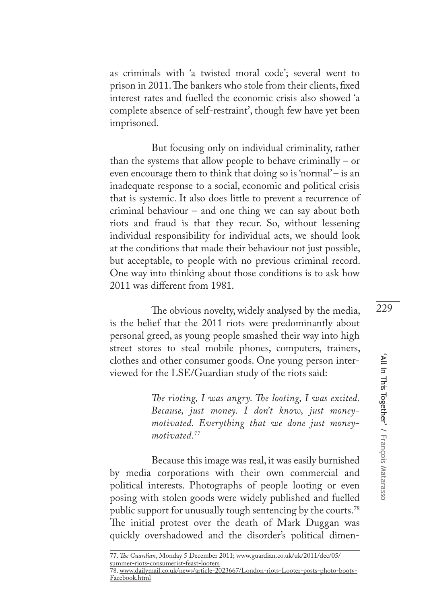as criminals with 'a twisted moral code'; several went to prison in 2011. The bankers who stole from their clients, fixed interest rates and fuelled the economic crisis also showed 'a complete absence of self-restraint', though few have yet been imprisoned.

But focusing only on individual criminality, rather than the systems that allow people to behave criminally – or even encourage them to think that doing so is 'normal' – is an inadequate response to a social, economic and political crisis that is systemic. It also does little to prevent a recurrence of criminal behaviour – and one thing we can say about both riots and fraud is that they recur. So, without lessening individual responsibility for individual acts, we should look at the conditions that made their behaviour not just possible, but acceptable, to people with no previous criminal record. One way into thinking about those conditions is to ask how 2011 was diferent from 1981.

The obvious novelty, widely analysed by the media, is the belief that the 2011 riots were predominantly about personal greed, as young people smashed their way into high street stores to steal mobile phones, computers, trainers, clothes and other consumer goods. One young person interviewed for the LSE/Guardian study of the riots said:

> *Te rioting, I was angry. Te looting, I was excited. Because, just money. I don't know, just moneymotivated. Everything that we done just moneymotivated.<sup>77</sup>*

Because this image was real, it was easily burnished by media corporations with their own commercial and political interests. Photographs of people looting or even posing with stolen goods were widely published and fuelled public support for unusually tough sentencing by the courts.78 The initial protest over the death of Mark Duggan was quickly overshadowed and the disorder's political dimen-

<sup>77.</sup> *Te Guardian*, Monday 5 December 2011; www.guardian.co.uk/uk/2011/dec/05/ summer-riots-consumerist-feast-looters 78. www.dailymail.co.uk/news/article-2023667/London-riots-Looter-posts-photo-booty-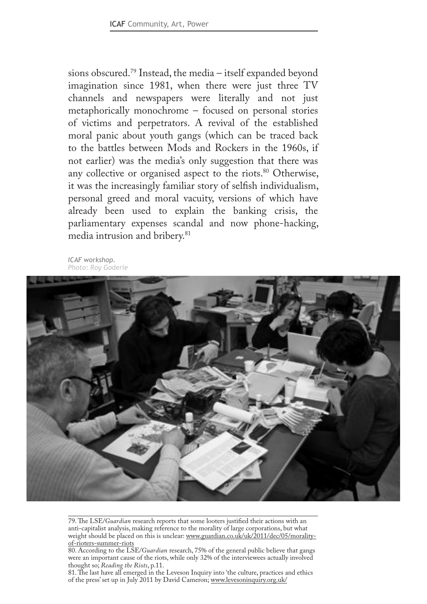sions obscured.79 Instead, the media – itself expanded beyond imagination since 1981, when there were just three TV channels and newspapers were literally and not just metaphorically monochrome – focused on personal stories of victims and perpetrators. A revival of the established moral panic about youth gangs (which can be traced back to the battles between Mods and Rockers in the 1960s, if not earlier) was the media's only suggestion that there was any collective or organised aspect to the riots.<sup>80</sup> Otherwise, it was the increasingly familiar story of selfsh individualism, personal greed and moral vacuity, versions of which have already been used to explain the banking crisis, the parliamentary expenses scandal and now phone-hacking, media intrusion and bribery.<sup>81</sup>

*ICAF workshop. Photo: Roy Goderie*



<sup>79.</sup> The LSE/*Guardian* research reports that some looters justified their actions with an anti-capitalist analysis, making reference to the morality of large corporations, but what weight should be placed on this is unclear: www.guardian.co.uk/uk/2011/dec/05/moralityof-rioters-summer-riots

81. The last have all emerged in the Leveson Inquiry into 'the culture, practices and ethics of the press' set up in July 2011 by David Cameron; www.levesoninquiry.org.uk/

<sup>80.</sup> According to the LSE/*Guardian* research, 75% of the general public believe that gangs were an important cause of the riots, while only 32% of the interviewees actually involved thought so; *Reading the Riots*, p.11.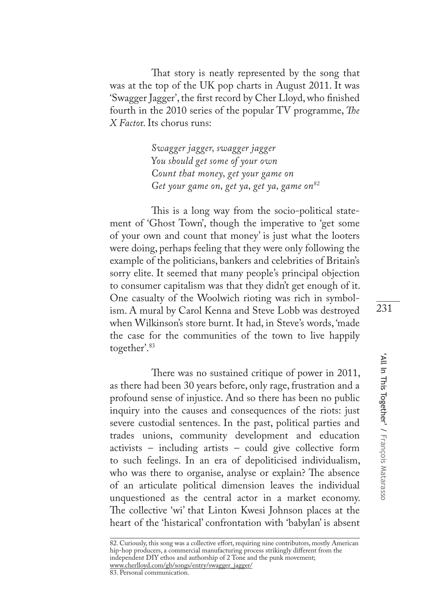That story is neatly represented by the song that was at the top of the UK pop charts in August 2011. It was 'Swagger Jagger', the frst record by Cher Lloyd, who fnished fourth in the 2010 series of the popular TV programme, *T<sup>e</sup> X Facto*r. Its chorus runs:

> *Swagger jagger, swagger jagger You should get some of your own Count that money, get your game on Get your game on, get ya, get ya, game on<sup>82</sup>*

This is a long way from the socio-political statement of 'Ghost Town', though the imperative to 'get some of your own and count that money' is just what the looters were doing, perhaps feeling that they were only following the example of the politicians, bankers and celebrities of Britain's sorry elite. It seemed that many people's principal objection to consumer capitalism was that they didn't get enough of it. One casualty of the Woolwich rioting was rich in symbolism. A mural by Carol Kenna and Steve Lobb was destroyed when Wilkinson's store burnt. It had, in Steve's words, 'made the case for the communities of the town to live happily together'.83

There was no sustained critique of power in 2011, as there had been 30 years before, only rage, frustration and a profound sense of injustice. And so there has been no public inquiry into the causes and consequences of the riots: just severe custodial sentences. In the past, political parties and trades unions, community development and education activists – including artists – could give collective form to such feelings. In an era of depoliticised individualism, who was there to organise, analyse or explain? The absence of an articulate political dimension leaves the individual unquestioned as the central actor in a market economy. The collective 'wi' that Linton Kwesi Johnson places at the heart of the 'histarical' confrontation with 'babylan' is absent

<sup>82.</sup> Curiously, this song was a collective effort, requiring nine contributors, mostly American hip-hop producers, a commercial manufacturing process strikingly diferent from the independent DIY ethos and authorship of 2 Tone and the punk movement; www.cherlloyd.com/gb/songs/entry/swagger\_jagger/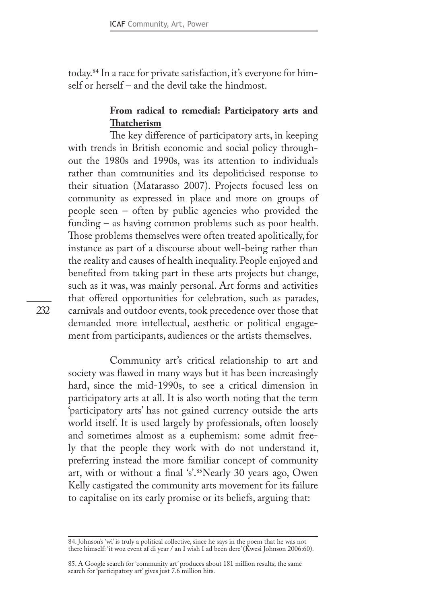today.84 In a race for private satisfaction, it's everyone for himself or herself – and the devil take the hindmost.

# **From radical to remedial: Participatory arts and Tatcherism**

The key difference of participatory arts, in keeping with trends in British economic and social policy throughout the 1980s and 1990s, was its attention to individuals rather than communities and its depoliticised response to their situation (Matarasso 2007). Projects focused less on community as expressed in place and more on groups of people seen – often by public agencies who provided the funding – as having common problems such as poor health. Those problems themselves were often treated apolitically, for instance as part of a discourse about well-being rather than the reality and causes of health inequality. People enjoyed and benefted from taking part in these arts projects but change, such as it was, was mainly personal. Art forms and activities that offered opportunities for celebration, such as parades, carnivals and outdoor events, took precedence over those that demanded more intellectual, aesthetic or political engagement from participants, audiences or the artists themselves.

Community art's critical relationship to art and society was fawed in many ways but it has been increasingly hard, since the mid-1990s, to see a critical dimension in participatory arts at all. It is also worth noting that the term 'participatory arts' has not gained currency outside the arts world itself. It is used largely by professionals, often loosely and sometimes almost as a euphemism: some admit freely that the people they work with do not understand it, preferring instead the more familiar concept of community art, with or without a fnal 's'.85Nearly 30 years ago, Owen Kelly castigated the community arts movement for its failure to capitalise on its early promise or its beliefs, arguing that:

<sup>84.</sup> Johnson's 'wi' is truly a political collective, since he says in the poem that he was not there himself: 'it woz event af di year / an I wish I ad been dere' (Kwesi Johnson 2006:60).

<sup>85.</sup> A Google search for 'community art' produces about 181 million results; the same search for 'participatory art' gives just 7.6 million hits.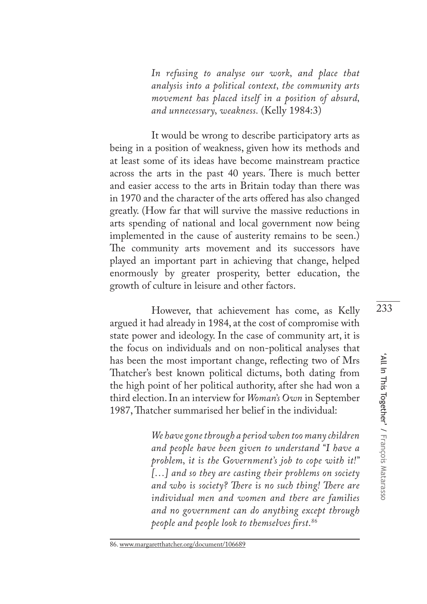*In refusing to analyse our work, and place that analysis into a political context, the community arts movement has placed itself in a position of absurd, and unnecessary, weakness.* (Kelly 1984:3)

It would be wrong to describe participatory arts as being in a position of weakness, given how its methods and at least some of its ideas have become mainstream practice across the arts in the past 40 years. There is much better and easier access to the arts in Britain today than there was in 1970 and the character of the arts ofered has also changed greatly. (How far that will survive the massive reductions in arts spending of national and local government now being implemented in the cause of austerity remains to be seen.) The community arts movement and its successors have played an important part in achieving that change, helped enormously by greater prosperity, better education, the growth of culture in leisure and other factors.

However, that achievement has come, as Kelly argued it had already in 1984, at the cost of compromise with state power and ideology. In the case of community art, it is the focus on individuals and on non-political analyses that has been the most important change, refecting two of Mrs Tatcher's best known political dictums, both dating from the high point of her political authority, after she had won a third election. In an interview for *Woman's Own* in September 1987, Tatcher summarised her belief in the individual:

> *We have gone through a period when too many children and people have been given to understand "I have a problem, it is the Government's job to cope with it!" […] and so they are casting their problems on society and who is society? Tere is no such thing! Tere are individual men and women and there are families and no government can do anything except through people and people look to themselves frst.<sup>86</sup>*

<sup>86.</sup> www.margaretthatcher.org/document/106689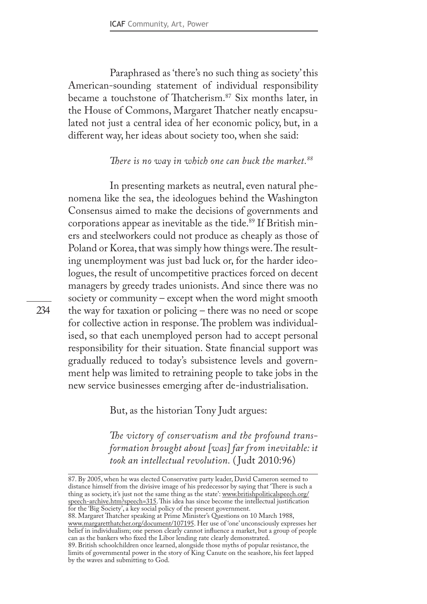Paraphrased as 'there's no such thing as society' this American-sounding statement of individual responsibility became a touchstone of Tatcherism.87 Six months later, in the House of Commons, Margaret Thatcher neatly encapsulated not just a central idea of her economic policy, but, in a diferent way, her ideas about society too, when she said:

## *Tere is no way in which one can buck the market.<sup>88</sup>*

In presenting markets as neutral, even natural phenomena like the sea, the ideologues behind the Washington Consensus aimed to make the decisions of governments and corporations appear as inevitable as the tide.<sup>89</sup> If British miners and steelworkers could not produce as cheaply as those of Poland or Korea, that was simply how things were. The resulting unemployment was just bad luck or, for the harder ideologues, the result of uncompetitive practices forced on decent managers by greedy trades unionists. And since there was no society or community – except when the word might smooth the way for taxation or policing – there was no need or scope for collective action in response. The problem was individualised, so that each unemployed person had to accept personal responsibility for their situation. State fnancial support was gradually reduced to today's subsistence levels and government help was limited to retraining people to take jobs in the new service businesses emerging after de-industrialisation.

But, as the historian Tony Judt argues:

*Te victory of conservatism and the profound transformation brought about [was] far from inevitable: it took an intellectual revolution.* ( Judt 2010:96)

<sup>87.</sup> By 2005, when he was elected Conservative party leader, David Cameron seemed to distance himself from the divisive image of his predecessor by saying that 'There is such a thing as society, it's just not the same thing as the state': www.britishpoliticalspeech.org/ speech-archive.htm?speech=315. This idea has since become the intellectual justification for the 'Big Society', a key social policy of the present government.

<sup>88.</sup> Margaret Thatcher speaking at Prime Minister's Questions on 10 March 1988, www.margaretthatcher.org/document/107195. Her use of 'one' unconsciously expresses her belief in individualism; one person clearly cannot infuence a market, but a group of people can as the bankers who fxed the Libor lending rate clearly demonstrated.

<sup>89.</sup> British schoolchildren once learned, alongside those myths of popular resistance, the limits of governmental power in the story of King Canute on the seashore, his feet lapped by the waves and submitting to God.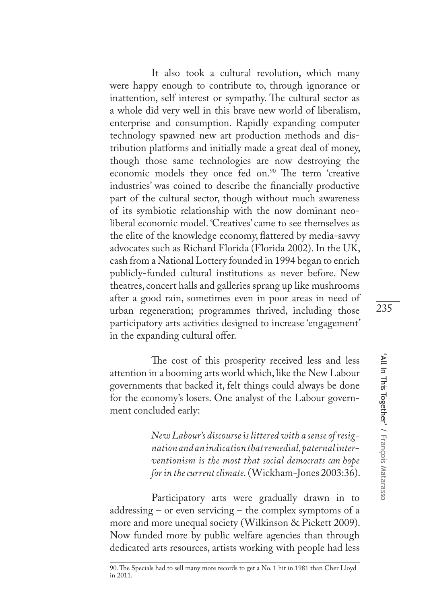It also took a cultural revolution, which many were happy enough to contribute to, through ignorance or inattention, self interest or sympathy. The cultural sector as a whole did very well in this brave new world of liberalism, enterprise and consumption. Rapidly expanding computer technology spawned new art production methods and distribution platforms and initially made a great deal of money, though those same technologies are now destroying the economic models they once fed on.<sup>90</sup> The term 'creative industries' was coined to describe the fnancially productive part of the cultural sector, though without much awareness of its symbiotic relationship with the now dominant neoliberal economic model. 'Creatives' came to see themselves as the elite of the knowledge economy, fattered by media-savvy advocates such as Richard Florida (Florida 2002). In the UK, cash from a National Lottery founded in 1994 began to enrich publicly-funded cultural institutions as never before. New theatres, concert halls and galleries sprang up like mushrooms after a good rain, sometimes even in poor areas in need of urban regeneration; programmes thrived, including those participatory arts activities designed to increase 'engagement' in the expanding cultural offer.

The cost of this prosperity received less and less attention in a booming arts world which, like the New Labour governments that backed it, felt things could always be done for the economy's losers. One analyst of the Labour government concluded early:

> *New Labour's discourse is littered with a sense of resignation and an indication that remedial, paternal interventionism is the most that social democrats can hope for in the current climate.* (Wickham-Jones 2003:36).

Participatory arts were gradually drawn in to addressing – or even servicing – the complex symptoms of a more and more unequal society (Wilkinson & Pickett 2009). Now funded more by public welfare agencies than through dedicated arts resources, artists working with people had less

<sup>90.</sup> The Specials had to sell many more records to get a No. 1 hit in 1981 than Cher Lloyd in 2011.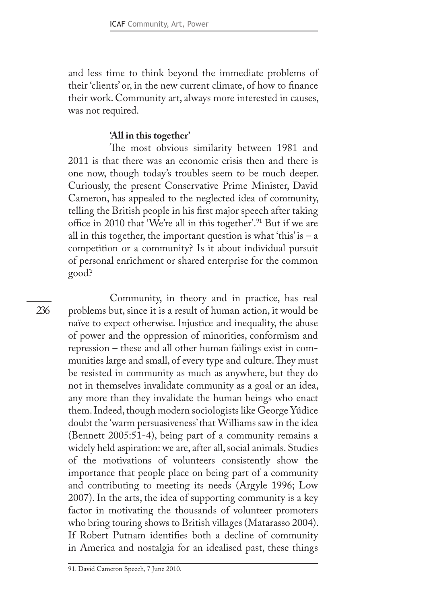and less time to think beyond the immediate problems of their 'clients' or, in the new current climate, of how to fnance their work. Community art, always more interested in causes, was not required.

# **'All in this together'**

The most obvious similarity between 1981 and 2011 is that there was an economic crisis then and there is one now, though today's troubles seem to be much deeper. Curiously, the present Conservative Prime Minister, David Cameron, has appealed to the neglected idea of community, telling the British people in his frst major speech after taking office in 2010 that 'We're all in this together'.<sup>91</sup> But if we are all in this together, the important question is what 'this' is  $-a$ competition or a community? Is it about individual pursuit of personal enrichment or shared enterprise for the common good?

Community, in theory and in practice, has real problems but, since it is a result of human action, it would be naïve to expect otherwise. Injustice and inequality, the abuse of power and the oppression of minorities, conformism and repression – these and all other human failings exist in communities large and small, of every type and culture. They must be resisted in community as much as anywhere, but they do not in themselves invalidate community as a goal or an idea, any more than they invalidate the human beings who enact them. Indeed, though modern sociologists like George Yúdice doubt the 'warm persuasiveness' that Williams saw in the idea (Bennett 2005:51-4), being part of a community remains a widely held aspiration: we are, after all, social animals. Studies of the motivations of volunteers consistently show the importance that people place on being part of a community and contributing to meeting its needs (Argyle 1996; Low 2007). In the arts, the idea of supporting community is a key factor in motivating the thousands of volunteer promoters who bring touring shows to British villages (Matarasso 2004). If Robert Putnam identifes both a decline of community in America and nostalgia for an idealised past, these things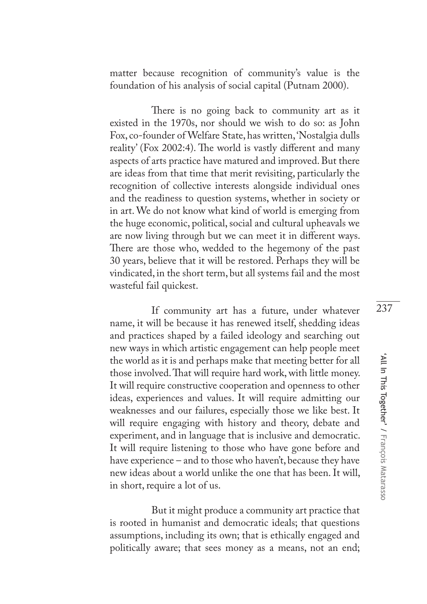matter because recognition of community's value is the foundation of his analysis of social capital (Putnam 2000).

There is no going back to community art as it existed in the 1970s, nor should we wish to do so: as John Fox, co-founder of Welfare State, has written, 'Nostalgia dulls reality' (Fox 2002:4). The world is vastly different and many aspects of arts practice have matured and improved. But there are ideas from that time that merit revisiting, particularly the recognition of collective interests alongside individual ones and the readiness to question systems, whether in society or in art. We do not know what kind of world is emerging from the huge economic, political, social and cultural upheavals we are now living through but we can meet it in diferent ways. There are those who, wedded to the hegemony of the past 30 years, believe that it will be restored. Perhaps they will be vindicated, in the short term, but all systems fail and the most wasteful fail quickest.

If community art has a future, under whatever name, it will be because it has renewed itself, shedding ideas and practices shaped by a failed ideology and searching out new ways in which artistic engagement can help people meet the world as it is and perhaps make that meeting better for all those involved. That will require hard work, with little money. It will require constructive cooperation and openness to other ideas, experiences and values. It will require admitting our weaknesses and our failures, especially those we like best. It will require engaging with history and theory, debate and experiment, and in language that is inclusive and democratic. It will require listening to those who have gone before and have experience – and to those who haven't, because they have new ideas about a world unlike the one that has been. It will, in short, require a lot of us.

But it might produce a community art practice that is rooted in humanist and democratic ideals; that questions assumptions, including its own; that is ethically engaged and politically aware; that sees money as a means, not an end;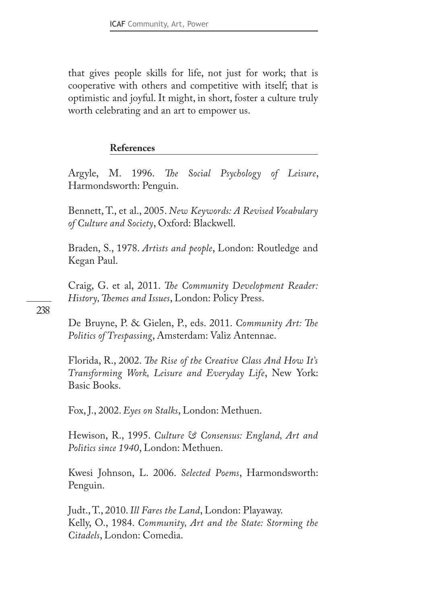that gives people skills for life, not just for work; that is cooperative with others and competitive with itself; that is optimistic and joyful. It might, in short, foster a culture truly worth celebrating and an art to empower us.

## **References**

Argyle, M. 1996. *Te Social Psychology of Leisure*, Harmondsworth: Penguin.

Bennett, T., et al., 2005. *New Keywords: A Revised Vocabulary of Culture and Society*, Oxford: Blackwell.

Braden, S., 1978. *Artists and people*, London: Routledge and Kegan Paul.

Craig, G. et al, 2011. *Te Community Development Reader: History, Temes and Issues*, London: Policy Press.

# 238

De Bruyne, P. & Gielen, P., eds. 2011. *Community Art: T<sup>e</sup> Politics of Trespassing*, Amsterdam: Valiz Antennae.

Florida, R., 2002. *Te Rise of the Creative Class And How It's Transforming Work, Leisure and Everyday Life*, New York: Basic Books.

Fox, J., 2002. *Eyes on Stalks*, London: Methuen.

Hewison, R., 1995. *Culture & Consensus: England, Art and Politics since 1940*, London: Methuen.

Kwesi Johnson, L. 2006. *Selected Poems*, Harmondsworth: Penguin.

Judt., T., 2010. *Ill Fares the Land*, London: Playaway. Kelly, O., 1984. *Community, Art and the State: Storming the Citadels*, London: Comedia.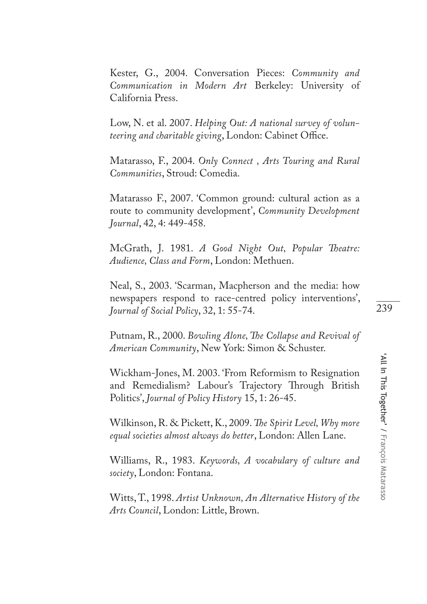Kester, G., 2004. Conversation Pieces: *Community and Communication in Modern Art* Berkeley: University of California Press.

Low, N. et al. 2007. *Helping Out: A national survey of volunteering and charitable giving*, London: Cabinet Office.

Matarasso, F., 2004. *Only Connect , Arts Touring and Rural Communities*, Stroud: Comedia.

Matarasso F., 2007. 'Common ground: cultural action as a route to community development', *Community Development Journal*, 42, 4: 449-458.

McGrath, J. 1981. *A Good Night Out, Popular Teatre: Audience, Class and Form*, London: Methuen.

Neal, S., 2003. 'Scarman, Macpherson and the media: how newspapers respond to race-centred policy interventions', *Journal of Social Policy*, 32, 1: 55-74.

Putnam, R., 2000. *Bowling Alone, Te Collapse and Revival of American Community*, New York: Simon & Schuster.

Wickham-Jones, M. 2003. 'From Reformism to Resignation and Remedialism? Labour's Trajectory Through British Politics', *Journal of Policy History* 15, 1: 26-45.

Wilkinson, R. & Pickett, K., 2009. *Te Spirit Level, Why more equal societies almost always do better*, London: Allen Lane.

Williams, R., 1983. *Keywords, A vocabulary of culture and society*, London: Fontana.

Witts, T., 1998. *Artist Unknown, An Alternative History of the Arts Council*, London: Little, Brown.